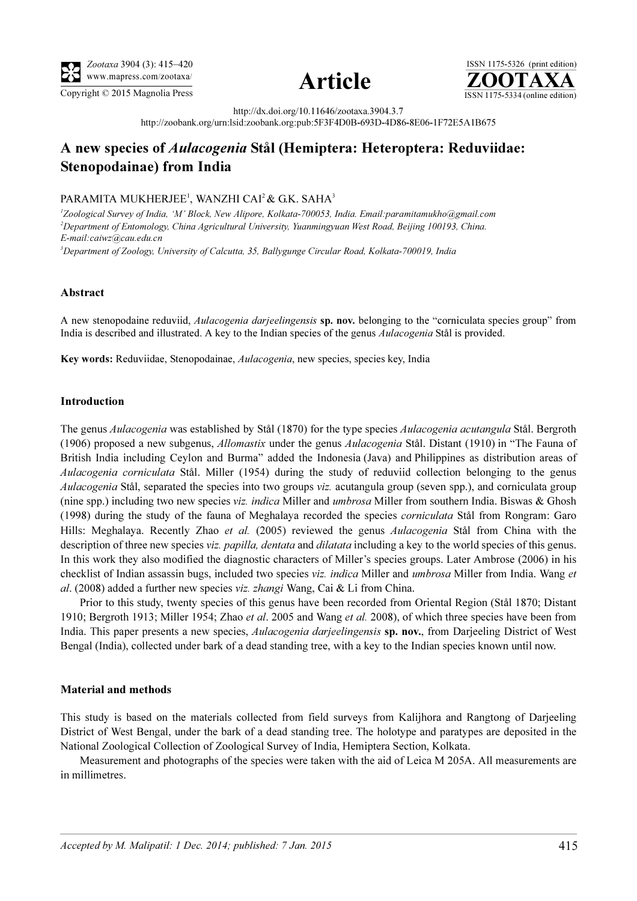





http://dx.doi.org/10.11646/zootaxa.3904.3.7

http://zoobank.org/urn:lsid:zoobank.org:pub:5F3F4D0B-693D-4D86-8E06-1F72E5A1B675

# A new species of Aulacogenia Stål (Hemiptera: Heteroptera: Reduviidae: Stenopodainae) from India

## PARAMITA MUKHERJEE<sup>1</sup>, WANZHI CAI<sup>2</sup> & G.K. SAHA<sup>3</sup>

<sup>1</sup>Zoological Survey of India, 'M' Block, New Alipore, Kolkata-700053, India. Email:paramitamukho@gmail.com 2 Department of Entomology, China Agricultural University, Yuanmingyuan West Road, Beijing 100193, China. E-mail:caiwz@cau.edu.cn

<sup>3</sup>Department of Zoology, University of Calcutta, 35, Ballygunge Circular Road, Kolkata-700019, India

## Abstract

A new stenopodaine reduviid, Aulacogenia darjeelingensis sp. nov. belonging to the "corniculata species group" from India is described and illustrated. A key to the Indian species of the genus Aulacogenia Stål is provided.

Key words: Reduviidae, Stenopodainae, Aulacogenia, new species, species key, India

#### Introduction

The genus Aulacogenia was established by Stål (1870) for the type species Aulacogenia acutangula Stål. Bergroth (1906) proposed a new subgenus, Allomastix under the genus Aulacogenia Stål. Distant (1910) in "The Fauna of British India including Ceylon and Burma" added the Indonesia (Java) and Philippines as distribution areas of Aulacogenia corniculata Stål. Miller (1954) during the study of reduviid collection belonging to the genus Aulacogenia Stål, separated the species into two groups viz. acutangula group (seven spp.), and corniculata group (nine spp.) including two new species viz. *indica* Miller and *umbrosa* Miller from southern India. Biswas & Ghosh (1998) during the study of the fauna of Meghalaya recorded the species corniculata Stål from Rongram: Garo Hills: Meghalaya. Recently Zhao et al. (2005) reviewed the genus *Aulacogenia* Stål from China with the description of three new species viz. *papilla, dentata* and *dilatata* [including a key to the world species of this genus.](http://dx.doi.org/10.1080/00222935408651719) [In this work they also modified the diagnostic characters of Miller's species groups. Later Ambrose \(2006\) in his](http://dx.doi.org/10.1080/00222935408651719) [checklist of Indian assassin bugs, included two species](http://dx.doi.org/10.1080/00222935408651719) viz. indica Miller and umbrosa Miller from India. Wang et al. (2008) added a further new species viz. zhangi Wang, Cai & Li from China.

Prior to this study, twenty species of this genus have been recorded from Oriental Region (Stål 1870; Distant 1910; Bergroth 1913; Miller 1954; Zhao *et al.* 2005 and Wang *et al.* 2008), of which three species have been from India. This paper presents a new species, Aulacogenia darjeelingensis sp. nov., from Darjeeling District of West Bengal (India), collected under bark of a dead standing tree, with a key to the Indian species known until now.

## Material and methods

This study is based on the materials collected from field surveys from Kalijhora and Rangtong of Darjeeling District of West Bengal, under the bark of a dead standing tree. The holotype and paratypes are deposited in the National Zoological Collection of Zoological Survey of India, Hemiptera Section, Kolkata.

Measurement and photographs of the species were taken with the aid of Leica M 205A. All measurements are in millimetres.